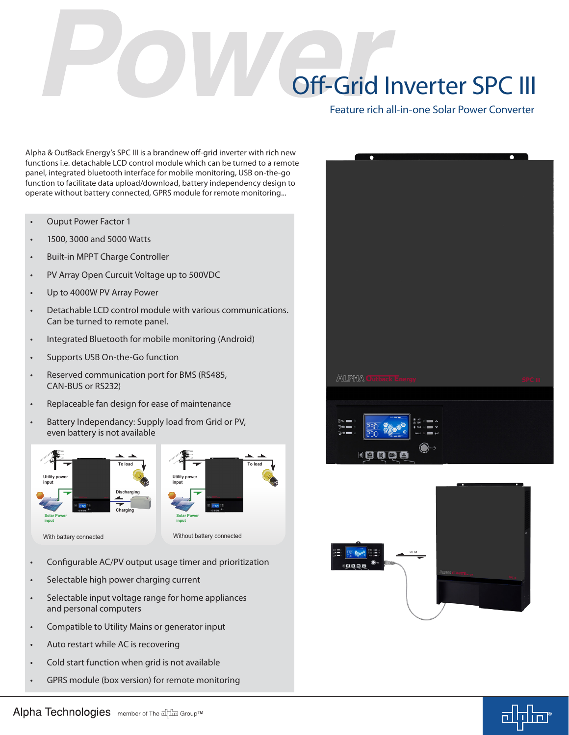## Off-Grid Inverter SPC III

Feature rich all-in-one Solar Power Converter

Alpha & OutBack Energy's SPC III is a brandnew off-grid inverter with rich new functions i.e. detachable LCD control module which can be turned to a remote panel, integrated bluetooth interface for mobile monitoring, USB on-the-go function to facilitate data upload/download, battery independency design to operate without battery connected, GPRS module for remote monitoring...

- **Ouput Power Factor 1**
- 1500, 3000 and 5000 Watts
- Built-in MPPT Charge Controller
- PV Array Open Curcuit Voltage up to 500VDC
- Up to 4000W PV Array Power
- • Detachable LCD control module with various communications. Can be turned to remote panel.
- • Integrated Bluetooth for mobile monitoring (Android)
- Supports USB On-the-Go function
- Reserved communication port for BMS (RS485, CAN-BUS or RS232)
- Replaceable fan design for ease of maintenance
- Battery Independancy: Supply load from Grid or PV, even battery is not available







**To load**

- Configurable AC/PV output usage timer and prioritization
- Selectable high power charging current
- Selectable input voltage range for home appliances and personal computers
- Compatible to Utility Mains or generator input
- Auto restart while AC is recovering
- Cold start function when grid is not available
- GPRS module (box version) for remote monitoring